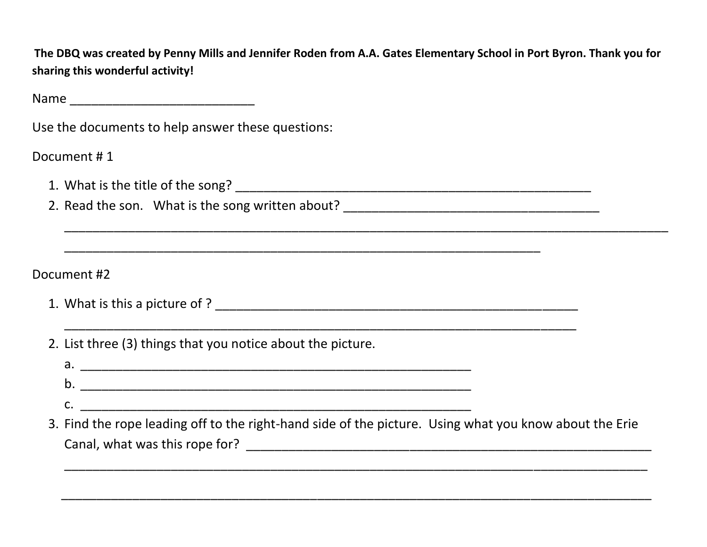**The DBQ was created by Penny Mills and Jennifer Roden from A.A. Gates Elementary School in Port Byron. Thank you for sharing this wonderful activity!**

 $\mathcal{L}_\text{max}$ 

 $\mathcal{L}_\text{max}$ 

Name \_\_\_\_\_\_\_\_\_\_\_\_\_\_\_\_\_\_\_\_\_\_\_\_\_\_

Use the documents to help answer these questions:

Document # 1

- 1. What is the title of the song? \_\_\_\_\_\_\_\_\_\_\_\_\_\_\_\_\_\_\_\_\_\_\_\_\_\_\_\_\_\_\_\_\_\_\_\_\_\_\_\_\_\_\_\_\_\_\_\_\_\_
- 2. Read the son. What is the song written about? \_\_\_\_\_\_\_\_\_\_\_\_\_\_\_\_\_\_\_\_\_\_\_\_\_\_\_\_\_\_\_\_

Document #2

- 1. What is this a picture of ? \_\_\_\_\_\_\_\_\_\_\_\_\_\_\_\_\_\_\_\_\_\_\_\_\_\_\_\_\_\_\_\_\_\_\_\_\_\_\_\_\_\_\_\_\_\_\_\_\_\_\_
- 2. List three (3) things that you notice about the picture.
	- a. \_\_\_\_\_\_\_\_\_\_\_\_\_\_\_\_\_\_\_\_\_\_\_\_\_\_\_\_\_\_\_\_\_\_\_\_\_\_\_\_\_\_\_\_\_\_\_\_\_\_\_\_\_\_\_ b. \_\_\_\_\_\_\_\_\_\_\_\_\_\_\_\_\_\_\_\_\_\_\_\_\_\_\_\_\_\_\_\_\_\_\_\_\_\_\_\_\_\_\_\_\_\_\_\_\_\_\_\_\_\_\_ c. \_\_\_\_\_\_\_\_\_\_\_\_\_\_\_\_\_\_\_\_\_\_\_\_\_\_\_\_\_\_\_\_\_\_\_\_\_\_\_\_\_\_\_\_\_\_\_\_\_\_\_\_\_\_\_

\_\_\_\_\_\_\_\_\_\_\_\_\_\_\_\_\_\_\_\_\_\_\_\_\_\_\_\_\_\_\_\_\_\_\_\_\_\_\_\_\_\_\_\_\_\_\_\_\_\_\_\_\_\_\_\_\_\_\_\_\_\_\_\_\_\_\_\_\_\_\_\_

3. Find the rope leading off to the right-hand side of the picture. Using what you know about the Erie Canal, what was this rope for? \_\_\_\_\_\_\_\_\_\_\_\_\_\_\_\_\_\_\_\_\_\_\_\_\_\_\_\_\_\_\_\_\_\_\_\_\_\_\_\_\_\_\_\_\_\_\_\_\_\_\_\_\_\_\_\_\_

\_\_\_\_\_\_\_\_\_\_\_\_\_\_\_\_\_\_\_\_\_\_\_\_\_\_\_\_\_\_\_\_\_\_\_\_\_\_\_\_\_\_\_\_\_\_\_\_\_\_\_\_\_\_\_\_\_\_\_\_\_\_\_\_\_\_\_\_\_\_\_\_\_\_\_\_\_\_\_\_\_\_\_

\_\_\_\_\_\_\_\_\_\_\_\_\_\_\_\_\_\_\_\_\_\_\_\_\_\_\_\_\_\_\_\_\_\_\_\_\_\_\_\_\_\_\_\_\_\_\_\_\_\_\_\_\_\_\_\_\_\_\_\_\_\_\_\_\_\_\_\_\_\_\_\_\_\_\_\_\_\_\_\_\_\_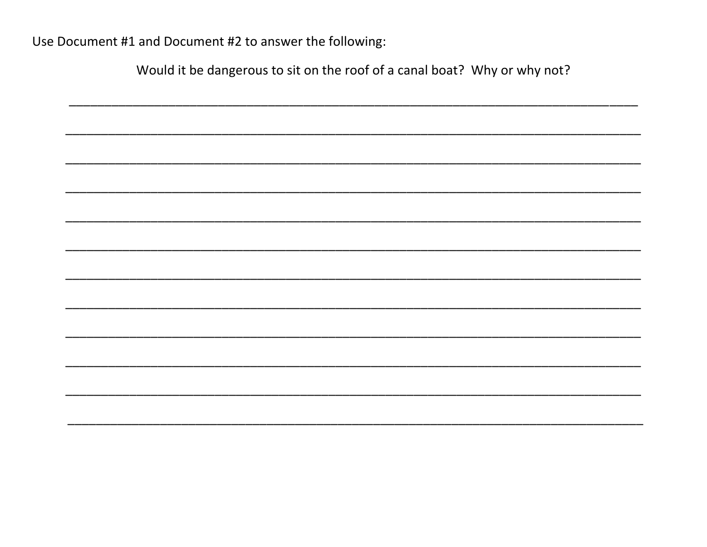Use Document #1 and Document #2 to answer the following:

Would it be dangerous to sit on the roof of a canal boat? Why or why not?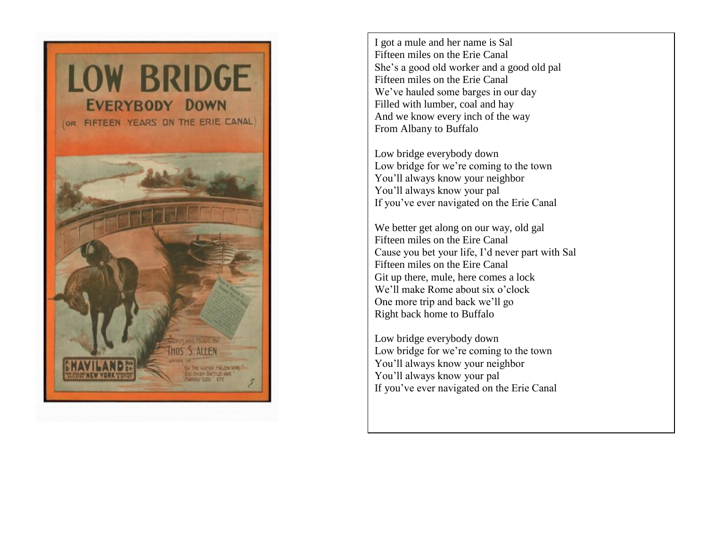

I got a mule and her name is Sal Fifteen miles on the Erie Canal She's a good old worker and a good old pal Fifteen miles on the Erie Canal We've hauled some barges in our day Filled with lumber, coal and hay And we know every inch of the way From Albany to Buffalo

Low bridge everybody down Low bridge for we're coming to the town You'll always know your neighbor You'll always know your pal If you've ever navigated on the Erie Canal

We better get along on our way, old gal Fifteen miles on the Eire Canal Cause you bet your life, I'd never part with Sal Fifteen miles on the Eire Canal Git up there, mule, here comes a lock We'll make Rome about six o'clock One more trip and back we'll go Right back home to Buffalo

Low bridge everybody down Low bridge for we're coming to the town You'll always know your neighbor You'll always know your pal If you've ever navigated on the Erie Canal